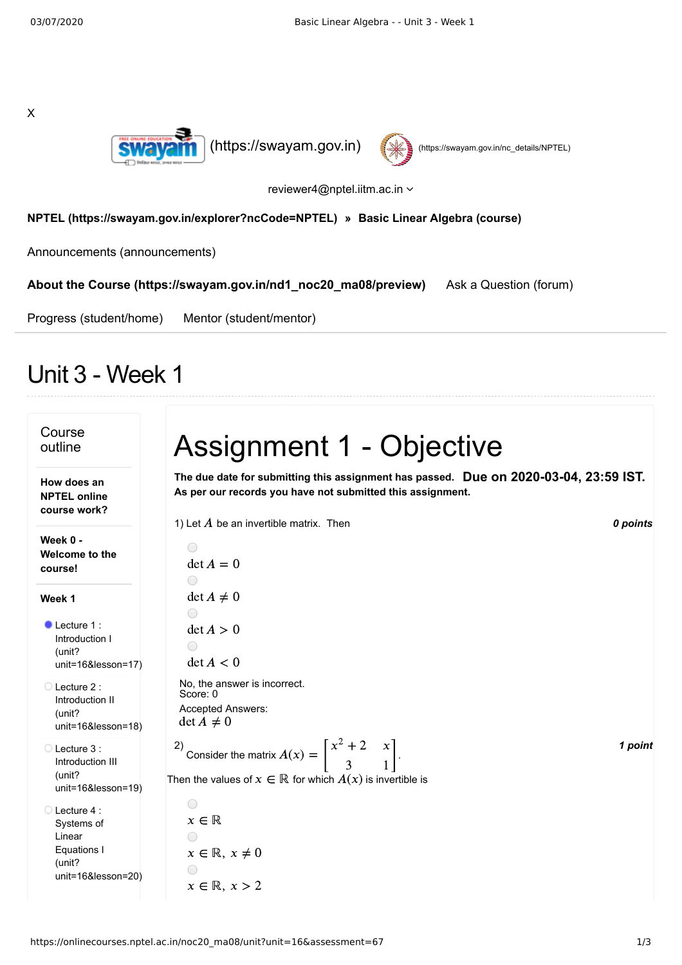



reviewer4@nptel.iitm.ac.in

## **[NPTEL \(https://swayam.gov.in/explorer?ncCode=NPTEL\)](https://swayam.gov.in/explorer?ncCode=NPTEL) » [Basic Linear Algebra \(course\)](https://onlinecourses.nptel.ac.in/noc20_ma08/course)**

[Announcements \(announcements\)](https://onlinecourses.nptel.ac.in/noc20_ma08/announcements)

**[About the Course \(https://swayam.gov.in/nd1\\_noc20\\_ma08/preview\)](https://swayam.gov.in/nd1_noc20_ma08/preview)** [Ask a Question \(forum\)](https://onlinecourses.nptel.ac.in/noc20_ma08/forum)

[Progress \(student/home\)](https://onlinecourses.nptel.ac.in/noc20_ma08/student/home) [Mentor \(student/mentor\)](https://onlinecourses.nptel.ac.in/noc20_ma08/student/mentor)

## Unit 3 - Week 1

| Course<br>outline                                                                             | <b>Assignment 1 - Objective</b>                                                                                                                                                                 |  |
|-----------------------------------------------------------------------------------------------|-------------------------------------------------------------------------------------------------------------------------------------------------------------------------------------------------|--|
| How does an<br><b>NPTEL online</b><br>course work?                                            | The due date for submitting this assignment has passed. Due on 2020-03-04, 23:59 IST.<br>As per our records you have not submitted this assignment.<br>1) Let $A$ be an invertible matrix. Then |  |
| Week 0 -<br>Welcome to the<br>course!                                                         | 0 points<br>$\bigcirc$<br>$\det A = 0$<br>$\bigcirc$                                                                                                                                            |  |
| Week 1<br>$\bullet$ Lecture 1:<br>Introduction I<br>(unit?<br>$unit=16&leson=17)$             | $\det A \neq 0$<br>$\bigcirc$<br>$\det A > 0$<br>$\bigcirc$<br>$\det A < 0$                                                                                                                     |  |
| $\bigcirc$ Lecture 2:<br>Introduction II<br>(unit?<br>unit=16&lesson=18)                      | No, the answer is incorrect.<br>Score: 0<br>Accepted Answers:<br>$\det A \neq 0$                                                                                                                |  |
| ◯ Lecture 3:<br>Introduction III<br>(unit?<br>$unit = 16&$ lesson=19)                         | Consider the matrix $A(x) = \begin{bmatrix} x^2 + 2 & x \\ 3 & 1 \end{bmatrix}$ .<br>1 point<br>Then the values of $x \in \mathbb{R}$ for which $A(x)$ is invertible is                         |  |
| $\bigcirc$ Lecture 4 :<br>Systems of<br>Linear<br>Equations I<br>(unit?<br>unit=16&lesson=20) | $\bigcirc$<br>$x \in \mathbb{R}$<br>$x \in \mathbb{R}, x \neq 0$<br>∩<br>$x \in \mathbb{R}, x > 2$                                                                                              |  |